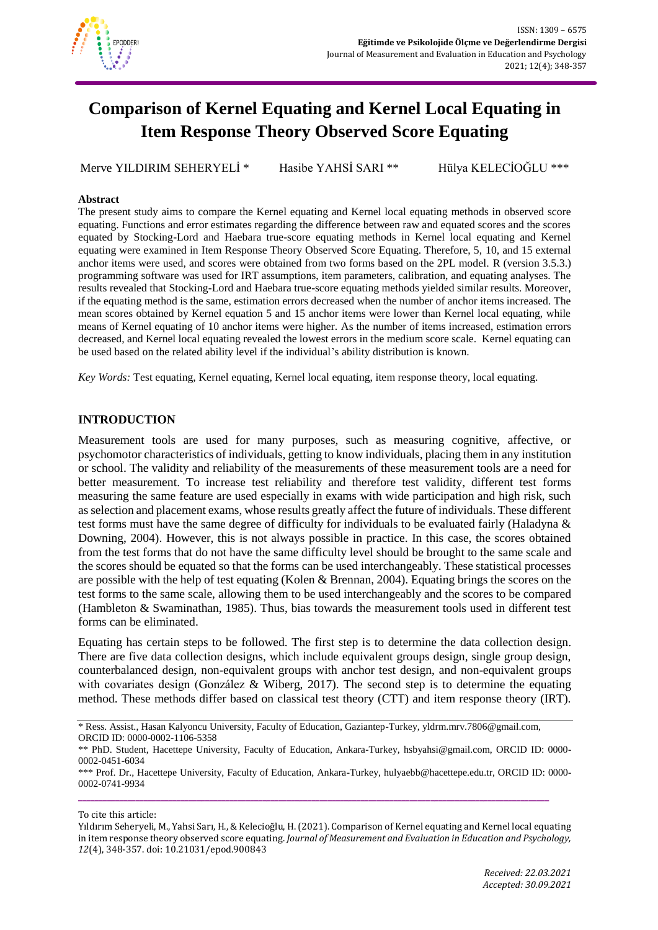

# **Comparison of Kernel Equating and Kernel Local Equating in Item Response Theory Observed Score Equating**

Merve YILDIRIM SEHERYELİ \* Hasibe YAHSİ SARI \*\* Hülya KELECİOĞLU \*\*\*

## **Abstract**

The present study aims to compare the Kernel equating and Kernel local equating methods in observed score equating. Functions and error estimates regarding the difference between raw and equated scores and the scores equated by Stocking-Lord and Haebara true-score equating methods in Kernel local equating and Kernel equating were examined in Item Response Theory Observed Score Equating. Therefore, 5, 10, and 15 external anchor items were used, and scores were obtained from two forms based on the 2PL model. R (version 3.5.3.) programming software was used for IRT assumptions, item parameters, calibration, and equating analyses. The results revealed that Stocking-Lord and Haebara true-score equating methods yielded similar results. Moreover, if the equating method is the same, estimation errors decreased when the number of anchor items increased. The mean scores obtained by Kernel equation 5 and 15 anchor items were lower than Kernel local equating, while means of Kernel equating of 10 anchor items were higher. As the number of items increased, estimation errors decreased, and Kernel local equating revealed the lowest errors in the medium score scale. Kernel equating can be used based on the related ability level if the individual's ability distribution is known.

*Key Words:* Test equating, Kernel equating, Kernel local equating, item response theory, local equating.

# **INTRODUCTION**

Measurement tools are used for many purposes, such as measuring cognitive, affective, or psychomotor characteristics of individuals, getting to know individuals, placing them in any institution or school. The validity and reliability of the measurements of these measurement tools are a need for better measurement. To increase test reliability and therefore test validity, different test forms measuring the same feature are used especially in exams with wide participation and high risk, such as selection and placement exams, whose results greatly affect the future of individuals. These different test forms must have the same degree of difficulty for individuals to be evaluated fairly (Haladyna & Downing, 2004). However, this is not always possible in practice. In this case, the scores obtained from the test forms that do not have the same difficulty level should be brought to the same scale and the scores should be equated so that the forms can be used interchangeably. These statistical processes are possible with the help of test equating (Kolen & Brennan, 2004). Equating brings the scores on the test forms to the same scale, allowing them to be used interchangeably and the scores to be compared (Hambleton & Swaminathan, 1985). Thus, bias towards the measurement tools used in different test forms can be eliminated.

Equating has certain steps to be followed. The first step is to determine the data collection design. There are five data collection designs, which include equivalent groups design, single group design, counterbalanced design, non-equivalent groups with anchor test design, and non-equivalent groups with covariates design (González & Wiberg, 2017). The second step is to determine the equating method. These methods differ based on classical test theory (CTT) and item response theory (IRT).

<sup>\*</sup> Ress. Assist., Hasan Kalyoncu University, Faculty of Education, Gaziantep-Turkey, yldrm.mrv.7806@gmail.com, ORCID ID: 0000-0002-1106-5358

<sup>\*\*</sup> PhD. Student, Hacettepe University, Faculty of Education, Ankara-Turkey, hsbyahsi@gmail.com, ORCID ID: 0000- 0002-0451-6034

<sup>\*\*\*</sup> Prof. Dr., Hacettepe University, Faculty of Education, Ankara-Turkey, hulyaebb@hacettepe.edu.tr, ORCID ID: 0000- 0002-0741-9934 **\_\_\_\_\_\_\_\_\_\_\_\_\_\_\_\_\_\_\_\_\_\_\_\_\_\_\_\_\_\_\_\_\_\_\_\_\_\_\_\_\_\_\_\_\_\_\_\_\_\_\_\_\_\_\_\_\_\_\_\_\_\_\_\_\_\_\_\_\_\_\_\_\_\_\_\_\_\_\_\_\_\_\_\_\_\_\_\_\_\_\_\_\_\_\_\_\_\_\_\_\_\_\_\_\_\_\_\_\_\_\_\_\_\_\_**

To cite this article:

Yıldırım Seheryeli, M., Yahsi Sarı, H., & Kelecioğlu, H. (2021). Comparison of Kernel equating and Kernel local equating in item response theory observed score equating. *Journal of Measurement and Evaluation in Education and Psychology, 12*(4), 348-357. doi: 10.21031/epod.900843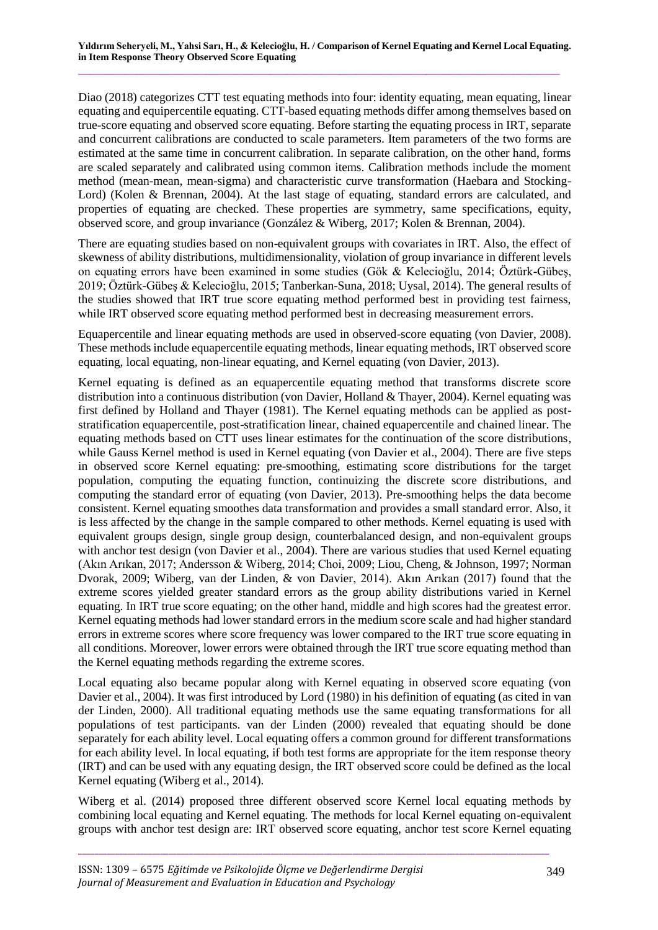Diao (2018) categorizes CTT test equating methods into four: identity equating, mean equating, linear equating and equipercentile equating. CTT-based equating methods differ among themselves based on true-score equating and observed score equating. Before starting the equating process in IRT, separate and concurrent calibrations are conducted to scale parameters. Item parameters of the two forms are estimated at the same time in concurrent calibration. In separate calibration, on the other hand, forms are scaled separately and calibrated using common items. Calibration methods include the moment method (mean-mean, mean-sigma) and characteristic curve transformation (Haebara and Stocking-Lord) (Kolen & Brennan, 2004). At the last stage of equating, standard errors are calculated, and properties of equating are checked. These properties are symmetry, same specifications, equity, observed score, and group invariance (González & Wiberg, 2017; Kolen & Brennan, 2004).

There are equating studies based on non-equivalent groups with covariates in IRT. Also, the effect of skewness of ability distributions, multidimensionality, violation of group invariance in different levels on equating errors have been examined in some studies (Gök & Kelecioğlu, 2014; Öztürk-Gübeş, 2019; Öztürk-Gübeş & Kelecioğlu, 2015; Tanberkan-Suna, 2018; Uysal, 2014). The general results of the studies showed that IRT true score equating method performed best in providing test fairness, while IRT observed score equating method performed best in decreasing measurement errors.

Equapercentile and linear equating methods are used in observed-score equating (von Davier, 2008). These methods include equapercentile equating methods, linear equating methods, IRT observed score equating, local equating, non-linear equating, and Kernel equating (von Davier, 2013).

Kernel equating is defined as an equapercentile equating method that transforms discrete score distribution into a continuous distribution (von Davier, Holland & Thayer, 2004). Kernel equating was first defined by Holland and Thayer (1981). The Kernel equating methods can be applied as poststratification equapercentile, post-stratification linear, chained equapercentile and chained linear. The equating methods based on CTT uses linear estimates for the continuation of the score distributions, while Gauss Kernel method is used in Kernel equating (von Davier et al., 2004). There are five steps in observed score Kernel equating: pre-smoothing, estimating score distributions for the target population, computing the equating function, continuizing the discrete score distributions, and computing the standard error of equating (von Davier, 2013). Pre-smoothing helps the data become consistent. Kernel equating smoothes data transformation and provides a small standard error. Also, it is less affected by the change in the sample compared to other methods. Kernel equating is used with equivalent groups design, single group design, counterbalanced design, and non-equivalent groups with anchor test design (von Davier et al., 2004). There are various studies that used Kernel equating (Akın Arıkan, 2017; Andersson & Wiberg, 2014; Choi, 2009; Liou, Cheng, & Johnson, 1997; Norman Dvorak, 2009; Wiberg, van der Linden, & von Davier, 2014). Akın Arıkan (2017) found that the extreme scores yielded greater standard errors as the group ability distributions varied in Kernel equating. In IRT true score equating; on the other hand, middle and high scores had the greatest error. Kernel equating methods had lower standard errors in the medium score scale and had higher standard errors in extreme scores where score frequency was lower compared to the IRT true score equating in all conditions. Moreover, lower errors were obtained through the IRT true score equating method than the Kernel equating methods regarding the extreme scores.

Local equating also became popular along with Kernel equating in observed score equating (von Davier et al., 2004). It was first introduced by Lord (1980) in his definition of equating (as cited in van der Linden, 2000). All traditional equating methods use the same equating transformations for all populations of test participants. van der Linden (2000) revealed that equating should be done separately for each ability level. Local equating offers a common ground for different transformations for each ability level. In local equating, if both test forms are appropriate for the item response theory (IRT) and can be used with any equating design, the IRT observed score could be defined as the local Kernel equating (Wiberg et al., 2014).

Wiberg et al. (2014) proposed three different observed score Kernel local equating methods by combining local equating and Kernel equating. The methods for local Kernel equating on-equivalent groups with anchor test design are: IRT observed score equating, anchor test score Kernel equating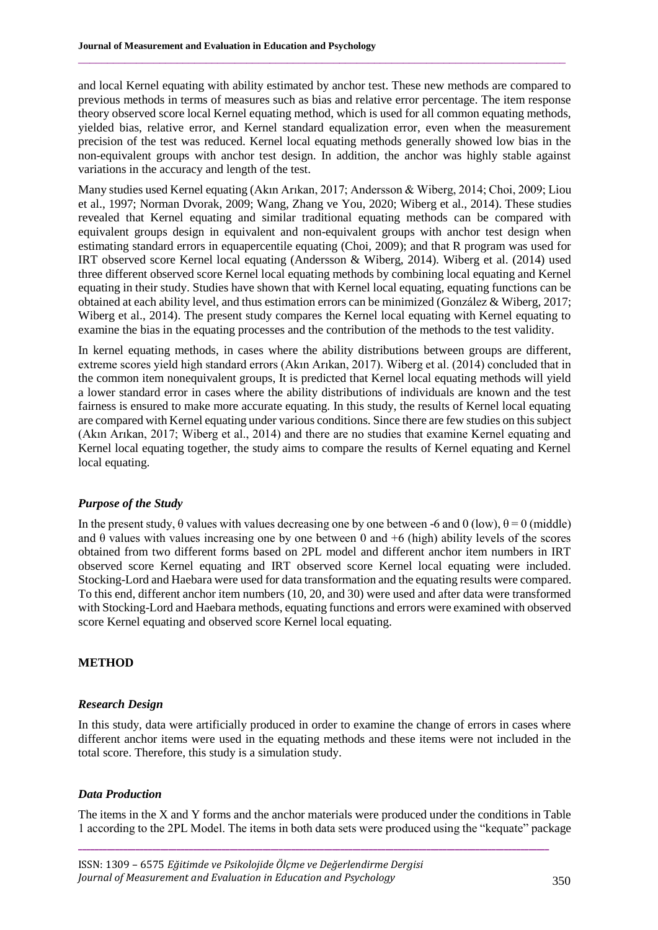and local Kernel equating with ability estimated by anchor test. These new methods are compared to previous methods in terms of measures such as bias and relative error percentage. The item response theory observed score local Kernel equating method, which is used for all common equating methods, yielded bias, relative error, and Kernel standard equalization error, even when the measurement precision of the test was reduced. Kernel local equating methods generally showed low bias in the non-equivalent groups with anchor test design. In addition, the anchor was highly stable against variations in the accuracy and length of the test.

 $\_$  , and the state of the state of the state of the state of the state of the state of the state of the state of the state of the state of the state of the state of the state of the state of the state of the state of the

Many studies used Kernel equating (Akın Arıkan, 2017; Andersson & Wiberg, 2014; Choi, 2009; Liou et al., 1997; Norman Dvorak, 2009; Wang, Zhang ve You, 2020; Wiberg et al., 2014). These studies revealed that Kernel equating and similar traditional equating methods can be compared with equivalent groups design in equivalent and non-equivalent groups with anchor test design when estimating standard errors in equapercentile equating (Choi, 2009); and that R program was used for IRT observed score Kernel local equating (Andersson & Wiberg, 2014). Wiberg et al. (2014) used three different observed score Kernel local equating methods by combining local equating and Kernel equating in their study. Studies have shown that with Kernel local equating, equating functions can be obtained at each ability level, and thus estimation errors can be minimized (González & Wiberg, 2017; Wiberg et al., 2014). The present study compares the Kernel local equating with Kernel equating to examine the bias in the equating processes and the contribution of the methods to the test validity.

In kernel equating methods, in cases where the ability distributions between groups are different, extreme scores yield high standard errors (Akın Arıkan, 2017). Wiberg et al. (2014) concluded that in the common item nonequivalent groups, It is predicted that Kernel local equating methods will yield a lower standard error in cases where the ability distributions of individuals are known and the test fairness is ensured to make more accurate equating. In this study, the results of Kernel local equating are compared with Kernel equating under various conditions. Since there are few studies on this subject (Akın Arıkan, 2017; Wiberg et al., 2014) and there are no studies that examine Kernel equating and Kernel local equating together, the study aims to compare the results of Kernel equating and Kernel local equating.

# *Purpose of the Study*

In the present study,  $\theta$  values with values decreasing one by one between -6 and 0 (low),  $\theta = 0$  (middle) and  $\theta$  values with values increasing one by one between 0 and +6 (high) ability levels of the scores obtained from two different forms based on 2PL model and different anchor item numbers in IRT observed score Kernel equating and IRT observed score Kernel local equating were included. Stocking-Lord and Haebara were used for data transformation and the equating results were compared. To this end, different anchor item numbers (10, 20, and 30) were used and after data were transformed with Stocking-Lord and Haebara methods, equating functions and errors were examined with observed score Kernel equating and observed score Kernel local equating.

# **METHOD**

#### *Research Design*

In this study, data were artificially produced in order to examine the change of errors in cases where different anchor items were used in the equating methods and these items were not included in the total score. Therefore, this study is a simulation study.

## *Data Production*

The items in the X and Y forms and the anchor materials were produced under the conditions in Table 1 according to the 2PL Model. The items in both data sets were produced using the "kequate" package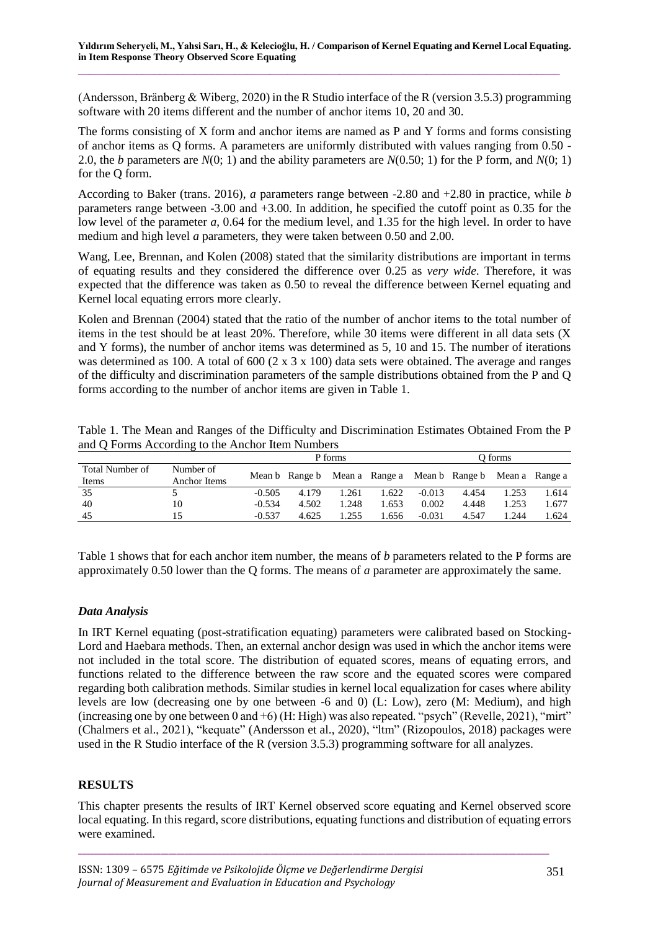(Andersson, Bränberg & Wiberg, 2020) in the R Studio interface of the R (version 3.5.3) programming software with 20 items different and the number of anchor items 10, 20 and 30.

The forms consisting of X form and anchor items are named as P and Y forms and forms consisting of anchor items as Q forms. A parameters are uniformly distributed with values ranging from 0.50 - 2.0, the *b* parameters are *N*(0; 1) and the ability parameters are *N*(0.50; 1) for the P form, and *N*(0; 1) for the Q form.

According to Baker (trans. 2016), *a* parameters range between -2.80 and +2.80 in practice, while *b* parameters range between -3.00 and +3.00. In addition, he specified the cutoff point as 0.35 for the low level of the parameter *a*, 0.64 for the medium level, and 1.35 for the high level. In order to have medium and high level *a* parameters, they were taken between 0.50 and 2.00.

Wang, Lee, Brennan, and Kolen (2008) stated that the similarity distributions are important in terms of equating results and they considered the difference over 0.25 as *very wide*. Therefore, it was expected that the difference was taken as 0.50 to reveal the difference between Kernel equating and Kernel local equating errors more clearly.

Kolen and Brennan (2004) stated that the ratio of the number of anchor items to the total number of items in the test should be at least 20%. Therefore, while 30 items were different in all data sets (X and Y forms), the number of anchor items was determined as 5, 10 and 15. The number of iterations was determined as 100. A total of 600 (2 x 3 x 100) data sets were obtained. The average and ranges of the difficulty and discrimination parameters of the sample distributions obtained from the P and Q forms according to the number of anchor items are given in Table 1.

|                 |              | P forms  |                                                             |       |       | O forms  |       |       |       |  |
|-----------------|--------------|----------|-------------------------------------------------------------|-------|-------|----------|-------|-------|-------|--|
| Total Number of | Number of    |          | Mean b Range b Mean a Range a Mean b Range b Mean a Range a |       |       |          |       |       |       |  |
| Items           | Anchor Items |          |                                                             |       |       |          |       |       |       |  |
| 35              |              | $-0.505$ | 4.179                                                       | 1.261 | 1.622 | $-0.013$ | 4.454 | 1.253 | 1.614 |  |
| 40              |              | $-0.534$ | 4.502                                                       | 1.248 | 1.653 | 0.002    | 4.448 | 1.253 | 1.677 |  |
| 45              |              | $-0.537$ | 4.625                                                       | .255  | .656  | $-0.031$ | 4.547 | 1.244 | 1.624 |  |

Table 1. The Mean and Ranges of the Difficulty and Discrimination Estimates Obtained From the P and Q Forms According to the Anchor Item Numbers

Table 1 shows that for each anchor item number, the means of *b* parameters related to the P forms are approximately 0.50 lower than the Q forms. The means of *a* parameter are approximately the same.

# *Data Analysis*

In IRT Kernel equating (post-stratification equating) parameters were calibrated based on Stocking-Lord and Haebara methods. Then, an external anchor design was used in which the anchor items were not included in the total score. The distribution of equated scores, means of equating errors, and functions related to the difference between the raw score and the equated scores were compared regarding both calibration methods. Similar studies in kernel local equalization for cases where ability levels are low (decreasing one by one between -6 and 0) (L: Low), zero (M: Medium), and high (increasing one by one between 0 and +6) (H: High) was also repeated. "psych" (Revelle, 2021), "mirt" (Chalmers et al., 2021), "kequate" (Andersson et al., 2020), "ltm" (Rizopoulos, 2018) packages were used in the R Studio interface of the R (version 3.5.3) programming software for all analyzes.

# **RESULTS**

This chapter presents the results of IRT Kernel observed score equating and Kernel observed score local equating. In this regard, score distributions, equating functions and distribution of equating errors were examined.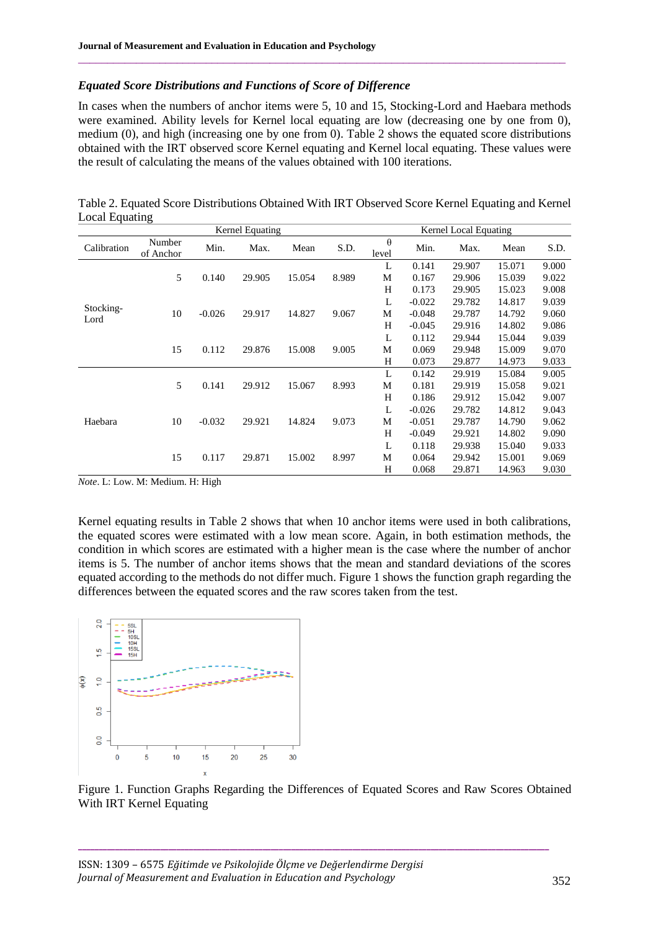### *Equated Score Distributions and Functions of Score of Difference*

In cases when the numbers of anchor items were 5, 10 and 15, Stocking-Lord and Haebara methods were examined. Ability levels for Kernel local equating are low (decreasing one by one from 0), medium (0), and high (increasing one by one from 0). Table 2 shows the equated score distributions obtained with the IRT observed score Kernel equating and Kernel local equating. These values were the result of calculating the means of the values obtained with 100 iterations.

 $\_$  , and the state of the state of the state of the state of the state of the state of the state of the state of the state of the state of the state of the state of the state of the state of the state of the state of the

Table 2. Equated Score Distributions Obtained With IRT Observed Score Kernel Equating and Kernel Local Equating

|             | Kernel Equating     |          |        |        |       | Kernel Local Equating |                              |        |        |       |  |
|-------------|---------------------|----------|--------|--------|-------|-----------------------|------------------------------|--------|--------|-------|--|
| Calibration | Number<br>of Anchor | Min.     | Max.   | Mean   | S.D.  | $\theta$<br>level     | Min.                         | Max.   | Mean   | S.D.  |  |
|             | 5                   | 0.140    | 29.905 | 15.054 | 8.989 | L                     | 0.141                        | 29.907 | 15.071 | 9.000 |  |
|             |                     |          |        |        |       | M                     | 0.167                        | 29.906 | 15.039 | 9.022 |  |
|             |                     |          |        |        |       | H                     | 0.173                        | 29.905 | 15.023 | 9.008 |  |
|             |                     |          |        |        |       | L                     | $-0.022$<br>29.782<br>14.817 | 9.039  |        |       |  |
| Stocking-   | 10                  | $-0.026$ | 29.917 | 14.827 | 9.067 | M                     | $-0.048$                     | 29.787 | 14.792 | 9.060 |  |
| Lord        |                     |          |        |        |       | H                     | $-0.045$                     | 29.916 | 14.802 | 9.086 |  |
|             | 15                  |          |        |        |       | L                     | 0.112                        | 29.944 | 15.044 | 9.039 |  |
|             |                     | 0.112    | 29.876 | 15.008 | 9.005 | M                     | 0.069                        | 29.948 | 15.009 | 9.070 |  |
|             |                     |          |        |        |       | H                     | 0.073                        | 29.877 | 14.973 | 9.033 |  |
| Haebara     | 5                   | 0.141    | 29.912 | 15.067 | 8.993 | L                     | 0.142                        | 29.919 | 15.084 | 9.005 |  |
|             |                     |          |        |        |       | М                     | 0.181                        | 29.919 | 15.058 | 9.021 |  |
|             |                     |          |        |        |       | H                     | 0.186                        | 29.912 | 15.042 | 9.007 |  |
|             | 10                  |          |        |        |       | L                     | $-0.026$                     | 29.782 | 14.812 | 9.043 |  |
|             |                     | $-0.032$ | 29.921 | 14.824 | 9.073 | M                     | $-0.051$                     | 29.787 | 14.790 | 9.062 |  |
|             |                     |          |        |        |       | H                     | $-0.049$                     | 29.921 | 14.802 | 9.090 |  |
|             |                     |          |        |        |       | L                     | 0.118                        | 29.938 | 15.040 | 9.033 |  |
|             | 15                  | 0.117    | 29.871 | 15.002 | 8.997 | M                     | 0.064                        | 29.942 | 15.001 | 9.069 |  |
|             |                     |          |        |        |       | H                     | 0.068                        | 29.871 | 14.963 | 9.030 |  |

*Note*. L: Low. M: Medium. H: High

Kernel equating results in Table 2 shows that when 10 anchor items were used in both calibrations, the equated scores were estimated with a low mean score. Again, in both estimation methods, the condition in which scores are estimated with a higher mean is the case where the number of anchor items is 5. The number of anchor items shows that the mean and standard deviations of the scores equated according to the methods do not differ much. Figure 1 shows the function graph regarding the differences between the equated scores and the raw scores taken from the test.



Figure 1. Function Graphs Regarding the Differences of Equated Scores and Raw Scores Obtained With IRT Kernel Equating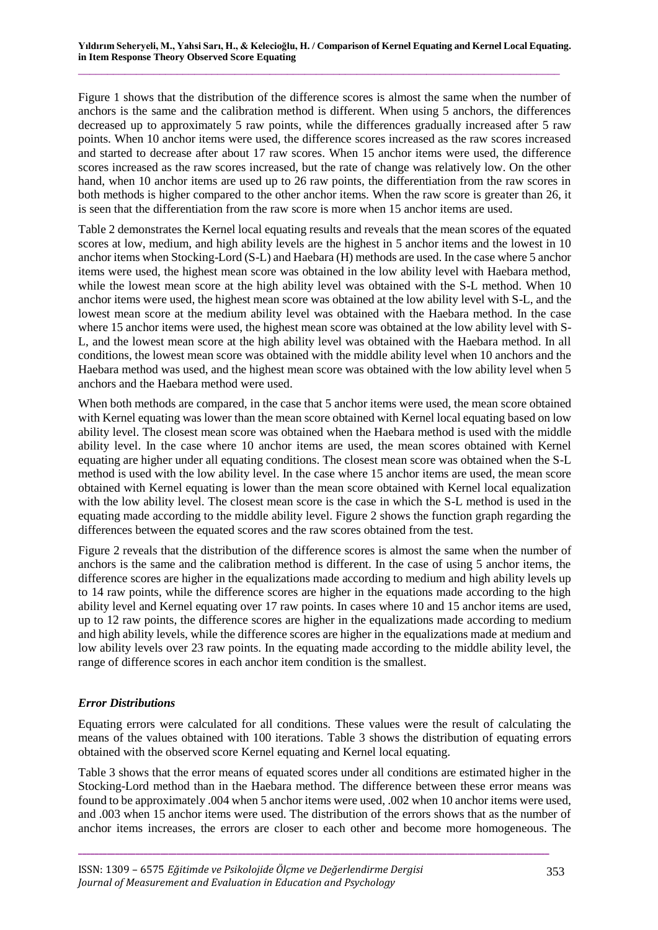Figure 1 shows that the distribution of the difference scores is almost the same when the number of anchors is the same and the calibration method is different. When using 5 anchors, the differences decreased up to approximately 5 raw points, while the differences gradually increased after 5 raw points. When 10 anchor items were used, the difference scores increased as the raw scores increased and started to decrease after about 17 raw scores. When 15 anchor items were used, the difference scores increased as the raw scores increased, but the rate of change was relatively low. On the other hand, when 10 anchor items are used up to 26 raw points, the differentiation from the raw scores in both methods is higher compared to the other anchor items. When the raw score is greater than 26, it is seen that the differentiation from the raw score is more when 15 anchor items are used.

Table 2 demonstrates the Kernel local equating results and reveals that the mean scores of the equated scores at low, medium, and high ability levels are the highest in 5 anchor items and the lowest in 10 anchor items when Stocking-Lord (S-L) and Haebara (H) methods are used. In the case where 5 anchor items were used, the highest mean score was obtained in the low ability level with Haebara method, while the lowest mean score at the high ability level was obtained with the S-L method. When 10 anchor items were used, the highest mean score was obtained at the low ability level with S-L, and the lowest mean score at the medium ability level was obtained with the Haebara method. In the case where 15 anchor items were used, the highest mean score was obtained at the low ability level with S-L, and the lowest mean score at the high ability level was obtained with the Haebara method. In all conditions, the lowest mean score was obtained with the middle ability level when 10 anchors and the Haebara method was used, and the highest mean score was obtained with the low ability level when 5 anchors and the Haebara method were used.

When both methods are compared, in the case that 5 anchor items were used, the mean score obtained with Kernel equating was lower than the mean score obtained with Kernel local equating based on low ability level. The closest mean score was obtained when the Haebara method is used with the middle ability level. In the case where 10 anchor items are used, the mean scores obtained with Kernel equating are higher under all equating conditions. The closest mean score was obtained when the S-L method is used with the low ability level. In the case where 15 anchor items are used, the mean score obtained with Kernel equating is lower than the mean score obtained with Kernel local equalization with the low ability level. The closest mean score is the case in which the S-L method is used in the equating made according to the middle ability level. Figure 2 shows the function graph regarding the differences between the equated scores and the raw scores obtained from the test.

Figure 2 reveals that the distribution of the difference scores is almost the same when the number of anchors is the same and the calibration method is different. In the case of using 5 anchor items, the difference scores are higher in the equalizations made according to medium and high ability levels up to 14 raw points, while the difference scores are higher in the equations made according to the high ability level and Kernel equating over 17 raw points. In cases where 10 and 15 anchor items are used, up to 12 raw points, the difference scores are higher in the equalizations made according to medium and high ability levels, while the difference scores are higher in the equalizations made at medium and low ability levels over 23 raw points. In the equating made according to the middle ability level, the range of difference scores in each anchor item condition is the smallest.

# *Error Distributions*

Equating errors were calculated for all conditions. These values were the result of calculating the means of the values obtained with 100 iterations. Table 3 shows the distribution of equating errors obtained with the observed score Kernel equating and Kernel local equating.

Table 3 shows that the error means of equated scores under all conditions are estimated higher in the Stocking-Lord method than in the Haebara method. The difference between these error means was found to be approximately .004 when 5 anchor items were used, .002 when 10 anchor items were used, and .003 when 15 anchor items were used. The distribution of the errors shows that as the number of anchor items increases, the errors are closer to each other and become more homogeneous. The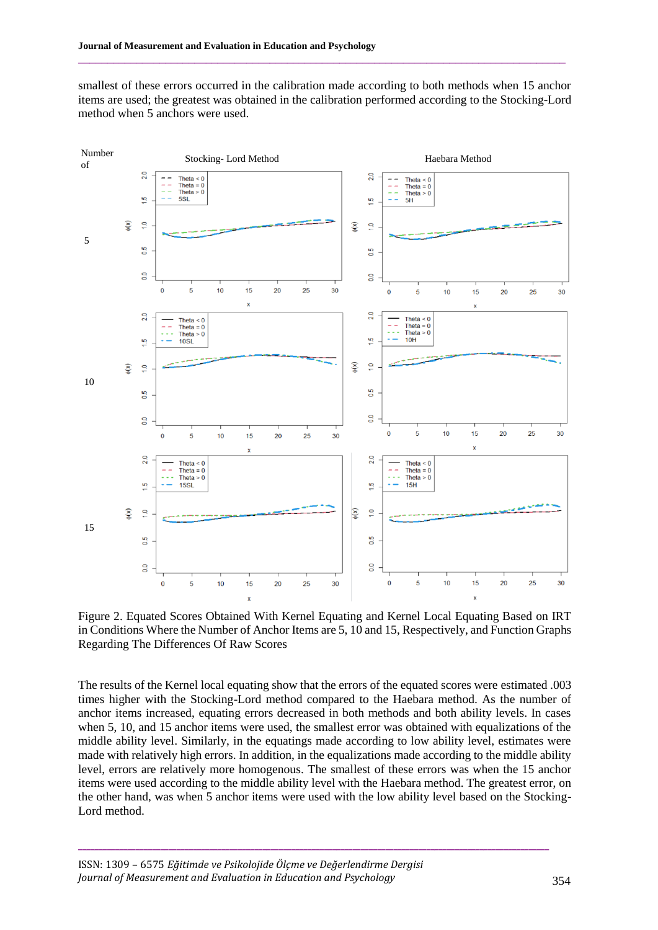smallest of these errors occurred in the calibration made according to both methods when 15 anchor items are used; the greatest was obtained in the calibration performed according to the Stocking-Lord method when 5 anchors were used.

 $\_$  , and the state of the state of the state of the state of the state of the state of the state of the state of the state of the state of the state of the state of the state of the state of the state of the state of the



Figure 2. Equated Scores Obtained With Kernel Equating and Kernel Local Equating Based on IRT in Conditions Where the Number of Anchor Items are 5, 10 and 15, Respectively, and Function Graphs Regarding The Differences Of Raw Scores

The results of the Kernel local equating show that the errors of the equated scores were estimated .003 times higher with the Stocking-Lord method compared to the Haebara method. As the number of anchor items increased, equating errors decreased in both methods and both ability levels. In cases when 5, 10, and 15 anchor items were used, the smallest error was obtained with equalizations of the middle ability level. Similarly, in the equatings made according to low ability level, estimates were made with relatively high errors. In addition, in the equalizations made according to the middle ability level, errors are relatively more homogenous. The smallest of these errors was when the 15 anchor items were used according to the middle ability level with the Haebara method. The greatest error, on the other hand, was when 5 anchor items were used with the low ability level based on the Stocking-Lord method.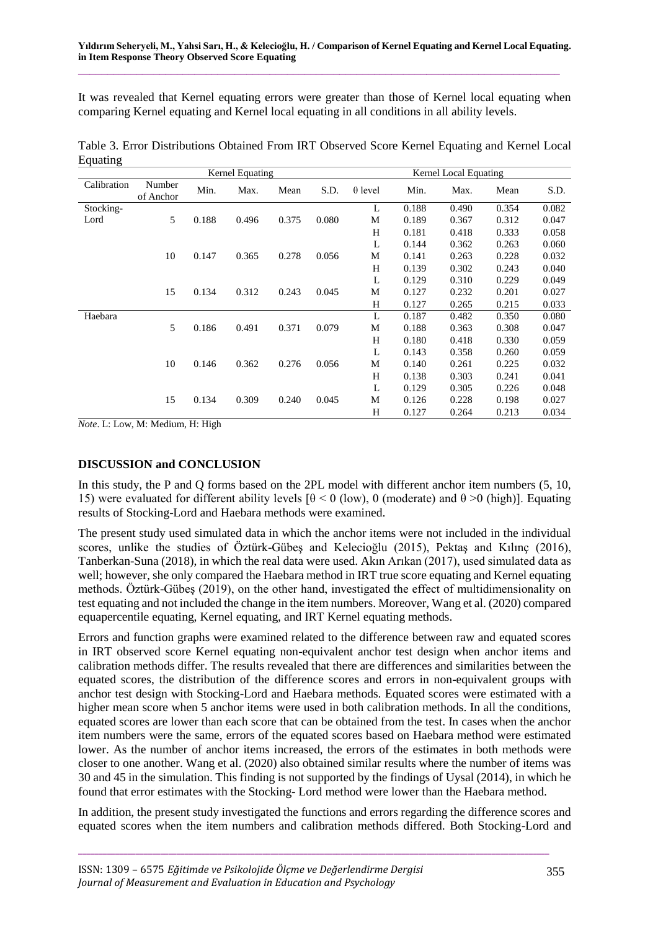It was revealed that Kernel equating errors were greater than those of Kernel local equating when comparing Kernel equating and Kernel local equating in all conditions in all ability levels.

|             | Kernel Equating     |       |       |       |       |                | Kernel Local Equating |       |       |       |  |
|-------------|---------------------|-------|-------|-------|-------|----------------|-----------------------|-------|-------|-------|--|
| Calibration | Number<br>of Anchor | Min.  | Max.  | Mean  | S.D.  | $\theta$ level | Min.                  | Max.  | Mean  | S.D.  |  |
| Stocking-   |                     |       |       |       |       | L              | 0.188                 | 0.490 | 0.354 | 0.082 |  |
| Lord        | 5                   | 0.188 | 0.496 | 0.375 | 0.080 | М              | 0.189                 | 0.367 | 0.312 | 0.047 |  |
|             |                     |       |       |       |       | H              | 0.181                 | 0.418 | 0.333 | 0.058 |  |
|             |                     |       |       |       |       | L              | 0.144                 | 0.362 | 0.263 | 0.060 |  |
|             | 10                  | 0.147 | 0.365 | 0.278 | 0.056 | M              | 0.141                 | 0.263 | 0.228 | 0.032 |  |
|             |                     |       |       |       |       | H              | 0.139                 | 0.302 | 0.243 | 0.040 |  |
|             |                     |       |       |       |       | L              | 0.129                 | 0.310 | 0.229 | 0.049 |  |
|             | 15                  | 0.134 | 0.312 | 0.243 | 0.045 | M              | 0.127                 | 0.232 | 0.201 | 0.027 |  |
|             |                     |       |       |       |       | H              | 0.127                 | 0.265 | 0.215 | 0.033 |  |
| Haebara     |                     |       |       |       |       | L              | 0.187                 | 0.482 | 0.350 | 0.080 |  |
|             | 5                   | 0.186 | 0.491 | 0.371 | 0.079 | M              | 0.188                 | 0.363 | 0.308 | 0.047 |  |
|             |                     |       |       |       |       | H              | 0.180                 | 0.418 | 0.330 | 0.059 |  |
|             |                     |       |       |       |       | L              | 0.143                 | 0.358 | 0.260 | 0.059 |  |
|             | 10                  | 0.146 | 0.362 | 0.276 | 0.056 | M              | 0.140                 | 0.261 | 0.225 | 0.032 |  |
|             |                     |       |       |       |       | H              | 0.138                 | 0.303 | 0.241 | 0.041 |  |
|             |                     |       |       |       |       | L              | 0.129                 | 0.305 | 0.226 | 0.048 |  |
|             | 15                  | 0.134 | 0.309 | 0.240 | 0.045 | M              | 0.126                 | 0.228 | 0.198 | 0.027 |  |
|             |                     |       |       |       |       | H              | 0.127                 | 0.264 | 0.213 | 0.034 |  |

Table 3. Error Distributions Obtained From IRT Observed Score Kernel Equating and Kernel Local Equating

*Note*. L: Low, M: Medium, H: High

# **DISCUSSION and CONCLUSION**

In this study, the P and Q forms based on the 2PL model with different anchor item numbers (5, 10, 15) were evaluated for different ability levels [θ < 0 (low), 0 (moderate) and θ >0 (high)]. Equating results of Stocking-Lord and Haebara methods were examined.

The present study used simulated data in which the anchor items were not included in the individual scores, unlike the studies of Öztürk-Gübeş and Kelecioğlu (2015), Pektaş and Kılınç (2016), Tanberkan-Suna (2018), in which the real data were used. Akın Arıkan (2017), used simulated data as well; however, she only compared the Haebara method in IRT true score equating and Kernel equating methods. Öztürk-Gübeş (2019), on the other hand, investigated the effect of multidimensionality on test equating and not included the change in the item numbers. Moreover, Wang et al. (2020) compared equapercentile equating, Kernel equating, and IRT Kernel equating methods.

Errors and function graphs were examined related to the difference between raw and equated scores in IRT observed score Kernel equating non-equivalent anchor test design when anchor items and calibration methods differ. The results revealed that there are differences and similarities between the equated scores, the distribution of the difference scores and errors in non-equivalent groups with anchor test design with Stocking-Lord and Haebara methods. Equated scores were estimated with a higher mean score when 5 anchor items were used in both calibration methods. In all the conditions, equated scores are lower than each score that can be obtained from the test. In cases when the anchor item numbers were the same, errors of the equated scores based on Haebara method were estimated lower. As the number of anchor items increased, the errors of the estimates in both methods were closer to one another. Wang et al. (2020) also obtained similar results where the number of items was 30 and 45 in the simulation. This finding is not supported by the findings of Uysal (2014), in which he found that error estimates with the Stocking- Lord method were lower than the Haebara method.

In addition, the present study investigated the functions and errors regarding the difference scores and equated scores when the item numbers and calibration methods differed. Both Stocking-Lord and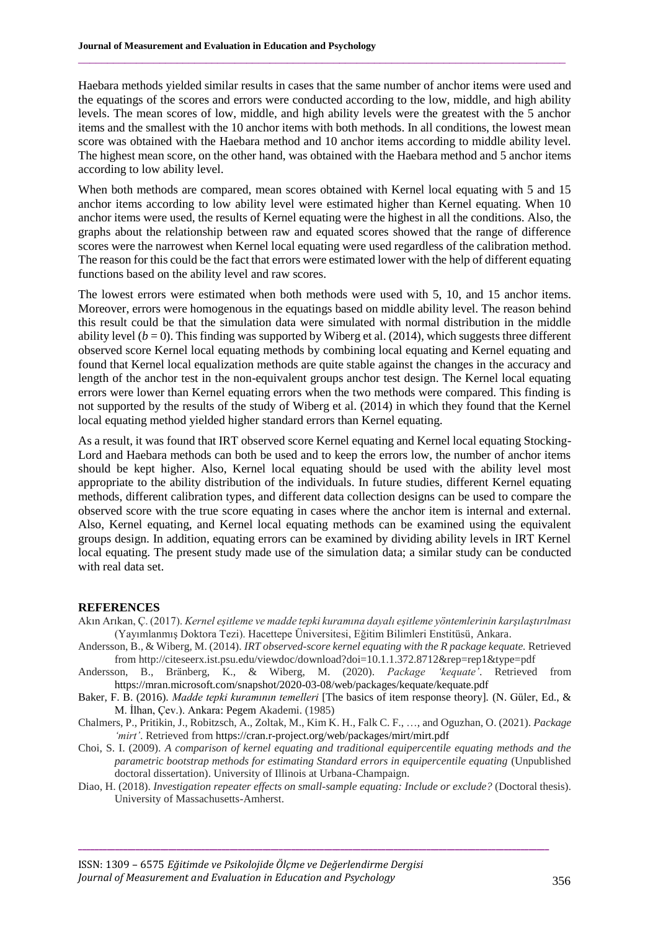Haebara methods yielded similar results in cases that the same number of anchor items were used and the equatings of the scores and errors were conducted according to the low, middle, and high ability levels. The mean scores of low, middle, and high ability levels were the greatest with the 5 anchor items and the smallest with the 10 anchor items with both methods. In all conditions, the lowest mean score was obtained with the Haebara method and 10 anchor items according to middle ability level. The highest mean score, on the other hand, was obtained with the Haebara method and 5 anchor items according to low ability level.

 $\_$  , and the state of the state of the state of the state of the state of the state of the state of the state of the state of the state of the state of the state of the state of the state of the state of the state of the

When both methods are compared, mean scores obtained with Kernel local equating with 5 and 15 anchor items according to low ability level were estimated higher than Kernel equating. When 10 anchor items were used, the results of Kernel equating were the highest in all the conditions. Also, the graphs about the relationship between raw and equated scores showed that the range of difference scores were the narrowest when Kernel local equating were used regardless of the calibration method. The reason for this could be the fact that errors were estimated lower with the help of different equating functions based on the ability level and raw scores.

The lowest errors were estimated when both methods were used with 5, 10, and 15 anchor items. Moreover, errors were homogenous in the equatings based on middle ability level. The reason behind this result could be that the simulation data were simulated with normal distribution in the middle ability level  $(b = 0)$ . This finding was supported by Wiberg et al. (2014), which suggests three different observed score Kernel local equating methods by combining local equating and Kernel equating and found that Kernel local equalization methods are quite stable against the changes in the accuracy and length of the anchor test in the non-equivalent groups anchor test design. The Kernel local equating errors were lower than Kernel equating errors when the two methods were compared. This finding is not supported by the results of the study of Wiberg et al. (2014) in which they found that the Kernel local equating method yielded higher standard errors than Kernel equating.

As a result, it was found that IRT observed score Kernel equating and Kernel local equating Stocking-Lord and Haebara methods can both be used and to keep the errors low, the number of anchor items should be kept higher. Also, Kernel local equating should be used with the ability level most appropriate to the ability distribution of the individuals. In future studies, different Kernel equating methods, different calibration types, and different data collection designs can be used to compare the observed score with the true score equating in cases where the anchor item is internal and external. Also, Kernel equating, and Kernel local equating methods can be examined using the equivalent groups design. In addition, equating errors can be examined by dividing ability levels in IRT Kernel local equating. The present study made use of the simulation data; a similar study can be conducted with real data set.

#### **REFERENCES**

- Akın Arıkan, Ç. (2017). *Kernel eşitleme ve madde tepki kuramına dayalı eşitleme yöntemlerinin karşılaştırılması* (Yayımlanmış Doktora Tezi). Hacettepe Üniversitesi, Eğitim Bilimleri Enstitüsü, Ankara.
- Andersson, B., & Wiberg, M. (2014). *IRT observed-score kernel equating with the R package kequate.* Retrieved from http://citeseerx.ist.psu.edu/viewdoc/download?doi=10.1.1.372.8712&rep=rep1&type=pdf
- Andersson, B., Bränberg, K., & Wiberg, M. (2020). *Package 'kequate'*. Retrieved from https://mran.microsoft.com/snapshot/2020-03-08/web/packages/kequate/kequate.pdf
- Baker, F. B. (2016). *Madde tepki kuramının temelleri* [The basics of item response theory]*.* (N. Güler, Ed., & M. İlhan, Çev.). Ankara: Pegem Akademi. (1985)
- Chalmers, P., Pritikin, J., Robitzsch, A., Zoltak, M., Kim K. H., Falk C. F., …, and Oguzhan, O. (2021). *Package 'mirt'*. Retrieved from https://cran.r-project.org/web/packages/mirt/mirt.pdf
- Choi, S. I. (2009). *A comparison of kernel equating and traditional equipercentile equating methods and the parametric bootstrap methods for estimating Standard errors in equipercentile equating* (Unpublished doctoral dissertation). University of Illinois at Urbana-Champaign.
- Diao, H. (2018). *Investigation repeater effects on small-sample equating: Include or exclude?* (Doctoral thesis). University of Massachusetts-Amherst.